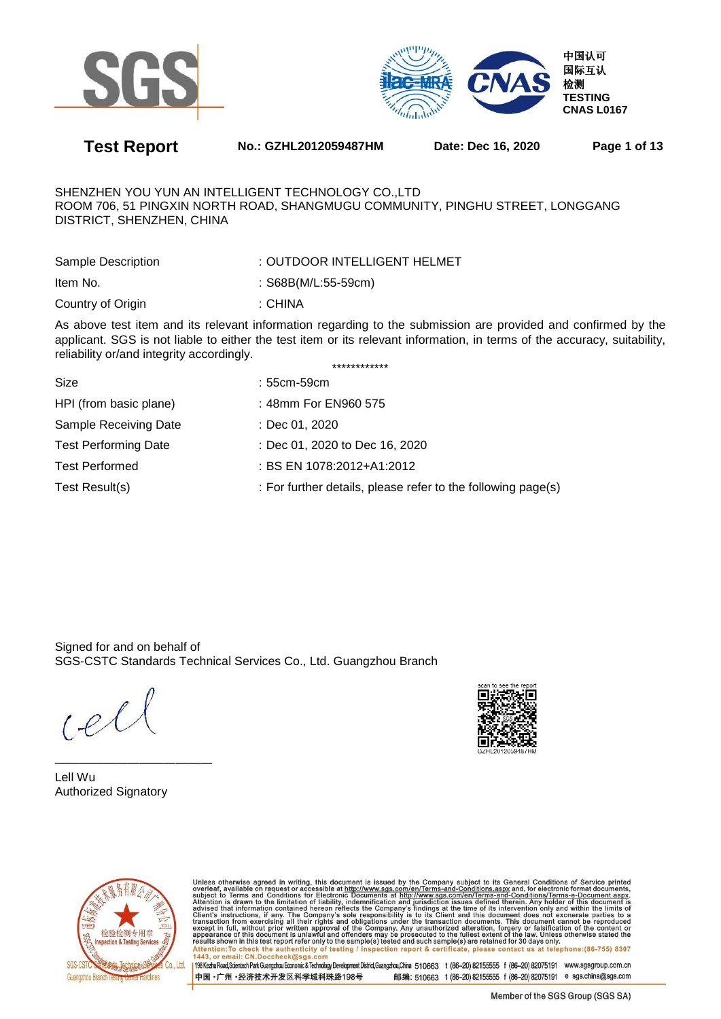



**Test Report No.: GZHL2012059487HM Date: Dec 16, 2020 Page 1 of 13** 

SHENZHEN YOU YUN AN INTELLIGENT TECHNOLOGY CO.,LTD ROOM 706, 51 PINGXIN NORTH ROAD, SHANGMUGU COMMUNITY, PINGHU STREET, LONGGANG DISTRICT, SHENZHEN, CHINA

| Sample Description | : OUTDOOR INTELLIGENT HELMET |
|--------------------|------------------------------|
| Item No.           | : $S68B(M/L:55-59cm)$        |
| Country of Origin  | : CHINA                      |

As above test item and its relevant information regarding to the submission are provided and confirmed by the applicant. SGS is not liable to either the test item or its relevant information, in terms of the accuracy, suitability, reliability or/and integrity accordingly. \*\*\*\*\*\*\*\*\*\*\*\*

| Size                        | : 55cm-59cm                                                  |
|-----------------------------|--------------------------------------------------------------|
| HPI (from basic plane)      | : 48mm For EN960 575                                         |
| Sample Receiving Date       | : Dec 01, 2020                                               |
| <b>Test Performing Date</b> | : Dec 01, 2020 to Dec 16, 2020                               |
| <b>Test Performed</b>       | : BS EN 1078:2012+A1:2012                                    |
| Test Result(s)              | : For further details, please refer to the following page(s) |
|                             |                                                              |

Signed for and on behalf of SGS-CSTC Standards Technical Services Co., Ltd. Guangzhou Branch

 $(e)$ 

————————————— Lell Wu Authorized Signatory





Unless otherwise agreed in writing, this document is issued by the Company subject to its General Conditions of Service printed<br>overleaf, available on request or accessible at http://www.sgs.com/en/Terms-and-Conditions.asp Attention: To check the authenticity of testing / inspection report & certificate, please contact us at telephone: (86-755) 8307 1443, or email: CN.Doccheck@sgs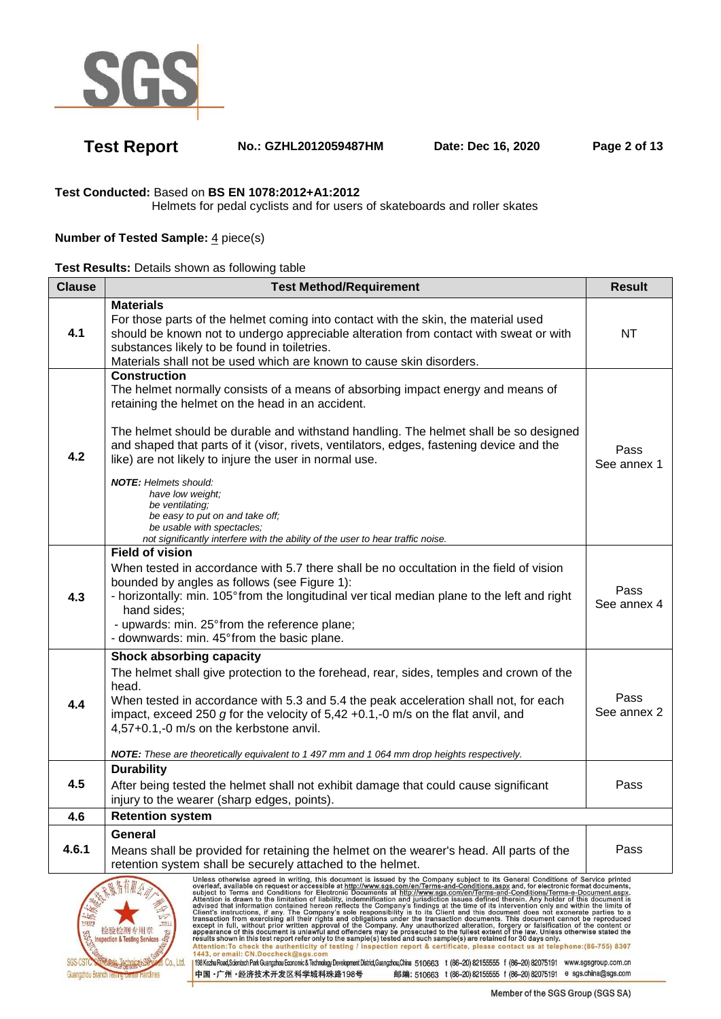

# **Test Report No.: GZHL2012059487HM Date: Dec 16, 2020 Page 2 of 13**

## **Test Conducted:** Based on **BS EN 1078:2012+A1:2012**

Helmets for pedal cyclists and for users of skateboards and roller skates

## **Number of Tested Sample: 4 piece(s)**

|  |  | Test Results: Details shown as following table |  |
|--|--|------------------------------------------------|--|
|  |  |                                                |  |

| <b>Clause</b>                                                                                                                                                                                                                                                                                                                                                                                                                                                                                                                                                                                                                                                                                                                                                                                                                                                                                                                                                                                                                                                                                                                                                                       | <b>Test Method/Requirement</b>                                                                                                                                                                                                                                                                                                                                                                                                                                                                                                                                                                                                      |                     |  |  |
|-------------------------------------------------------------------------------------------------------------------------------------------------------------------------------------------------------------------------------------------------------------------------------------------------------------------------------------------------------------------------------------------------------------------------------------------------------------------------------------------------------------------------------------------------------------------------------------------------------------------------------------------------------------------------------------------------------------------------------------------------------------------------------------------------------------------------------------------------------------------------------------------------------------------------------------------------------------------------------------------------------------------------------------------------------------------------------------------------------------------------------------------------------------------------------------|-------------------------------------------------------------------------------------------------------------------------------------------------------------------------------------------------------------------------------------------------------------------------------------------------------------------------------------------------------------------------------------------------------------------------------------------------------------------------------------------------------------------------------------------------------------------------------------------------------------------------------------|---------------------|--|--|
| 4.1                                                                                                                                                                                                                                                                                                                                                                                                                                                                                                                                                                                                                                                                                                                                                                                                                                                                                                                                                                                                                                                                                                                                                                                 | <b>Materials</b><br>For those parts of the helmet coming into contact with the skin, the material used<br>should be known not to undergo appreciable alteration from contact with sweat or with<br>substances likely to be found in toiletries.<br>Materials shall not be used which are known to cause skin disorders.                                                                                                                                                                                                                                                                                                             | NT                  |  |  |
| 4.2                                                                                                                                                                                                                                                                                                                                                                                                                                                                                                                                                                                                                                                                                                                                                                                                                                                                                                                                                                                                                                                                                                                                                                                 | <b>Construction</b><br>The helmet normally consists of a means of absorbing impact energy and means of<br>retaining the helmet on the head in an accident.<br>The helmet should be durable and withstand handling. The helmet shall be so designed<br>and shaped that parts of it (visor, rivets, ventilators, edges, fastening device and the<br>like) are not likely to injure the user in normal use.<br><b>NOTE:</b> Helmets should:<br>have low weight;<br>be ventilating;<br>be easy to put on and take off;<br>be usable with spectacles;<br>not significantly interfere with the ability of the user to hear traffic noise. | Pass<br>See annex 1 |  |  |
| 4.3                                                                                                                                                                                                                                                                                                                                                                                                                                                                                                                                                                                                                                                                                                                                                                                                                                                                                                                                                                                                                                                                                                                                                                                 | <b>Field of vision</b><br>When tested in accordance with 5.7 there shall be no occultation in the field of vision<br>bounded by angles as follows (see Figure 1):<br>- horizontally: min. 105° from the longitudinal ver tical median plane to the left and right<br>hand sides;<br>- upwards: min. 25° from the reference plane;<br>- downwards: min. 45° from the basic plane.                                                                                                                                                                                                                                                    |                     |  |  |
| 4.4                                                                                                                                                                                                                                                                                                                                                                                                                                                                                                                                                                                                                                                                                                                                                                                                                                                                                                                                                                                                                                                                                                                                                                                 | <b>Shock absorbing capacity</b><br>The helmet shall give protection to the forehead, rear, sides, temples and crown of the<br>head.<br>When tested in accordance with 5.3 and 5.4 the peak acceleration shall not, for each<br>impact, exceed 250 g for the velocity of $5,42 +0.1, -0$ m/s on the flat anvil, and<br>4,57+0.1,-0 m/s on the kerbstone anvil.<br>NOTE: These are theoretically equivalent to 1 497 mm and 1 064 mm drop heights respectively.                                                                                                                                                                       |                     |  |  |
| 4.5                                                                                                                                                                                                                                                                                                                                                                                                                                                                                                                                                                                                                                                                                                                                                                                                                                                                                                                                                                                                                                                                                                                                                                                 | <b>Durability</b><br>After being tested the helmet shall not exhibit damage that could cause significant<br>injury to the wearer (sharp edges, points).                                                                                                                                                                                                                                                                                                                                                                                                                                                                             | Pass                |  |  |
| 4.6                                                                                                                                                                                                                                                                                                                                                                                                                                                                                                                                                                                                                                                                                                                                                                                                                                                                                                                                                                                                                                                                                                                                                                                 | <b>Retention system</b>                                                                                                                                                                                                                                                                                                                                                                                                                                                                                                                                                                                                             |                     |  |  |
| 4.6.1                                                                                                                                                                                                                                                                                                                                                                                                                                                                                                                                                                                                                                                                                                                                                                                                                                                                                                                                                                                                                                                                                                                                                                               | General<br>Means shall be provided for retaining the helmet on the wearer's head. All parts of the<br>retention system shall be securely attached to the helmet.                                                                                                                                                                                                                                                                                                                                                                                                                                                                    | Pass                |  |  |
| Unless otherwise agreed in writing, this document is issued by the Company subject to its General Conditions of Service printed<br>oness Consumer Systems and Conditions and Conditions and Conditions as the Company of the Conditions as the extreme of the conditions as the extreme of the conditions as the extreme of the conditions as the conditions are<br>Advised that information contained hereon reflects the Company's findings at the time of its intervention only and within the limits of<br>advised that information contained hereon reflects the Company's findings at the time<br>$\nabla$<br>$\equiv$<br>亚拉树专用草<br>na: ha for for you for the past inspection & Testing Services<br>results shown in this test report refer only to the sample(s) tested and such sample(s) are retained for 30 days only.<br>Attention: To check the authenticity of testing / inspection report & certificate, please contact us at telephone: (86-755) 8307<br>1443, or email: CN.Doccheck@sgs.com<br>198 Kezhu Road,Scientech Park Guangzhou Economic & Technology Development District,Guangzhou,China 510663 t (86-20) 82155555 f (86-20) 82075191 www.sgsgroup.com.cn |                                                                                                                                                                                                                                                                                                                                                                                                                                                                                                                                                                                                                                     |                     |  |  |

Guangzhou Branch Testing lamlinge 中国·广州·经济技术开发区科学城科珠路198号

邮编: 510663 t (86-20) 82155555 f (86-20) 82075191 e sgs.china@sgs.com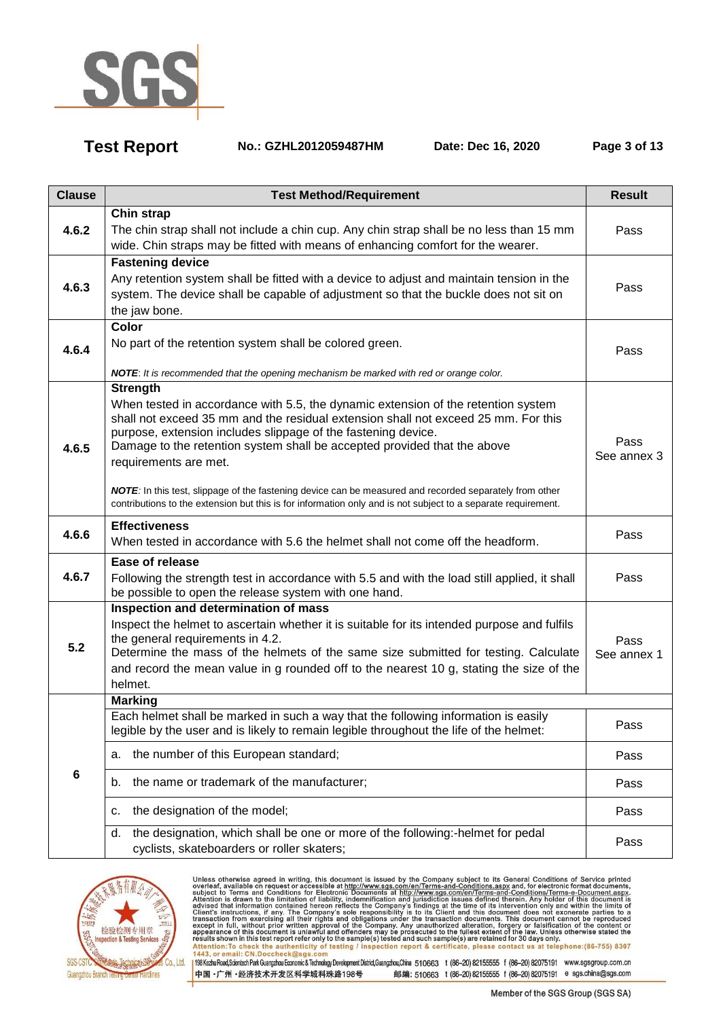

**Test Report No.: GZHL2012059487HM Date: Dec 16, 2020 Page 3 of 13** 

| <b>Clause</b> | <b>Test Method/Requirement</b>                                                                                                                                                                                                                                                                                                                                                                                                                                                                                                                                                               | <b>Result</b>       |
|---------------|----------------------------------------------------------------------------------------------------------------------------------------------------------------------------------------------------------------------------------------------------------------------------------------------------------------------------------------------------------------------------------------------------------------------------------------------------------------------------------------------------------------------------------------------------------------------------------------------|---------------------|
| 4.6.2         | Chin strap<br>The chin strap shall not include a chin cup. Any chin strap shall be no less than 15 mm<br>wide. Chin straps may be fitted with means of enhancing comfort for the wearer.                                                                                                                                                                                                                                                                                                                                                                                                     | Pass                |
| 4.6.3         | <b>Fastening device</b><br>Any retention system shall be fitted with a device to adjust and maintain tension in the<br>system. The device shall be capable of adjustment so that the buckle does not sit on<br>the jaw bone.                                                                                                                                                                                                                                                                                                                                                                 | Pass                |
| 4.6.4         | Color<br>No part of the retention system shall be colored green.<br>NOTE: It is recommended that the opening mechanism be marked with red or orange color.                                                                                                                                                                                                                                                                                                                                                                                                                                   | Pass                |
| 4.6.5         | <b>Strength</b><br>When tested in accordance with 5.5, the dynamic extension of the retention system<br>shall not exceed 35 mm and the residual extension shall not exceed 25 mm. For this<br>purpose, extension includes slippage of the fastening device.<br>Damage to the retention system shall be accepted provided that the above<br>requirements are met.<br>NOTE: In this test, slippage of the fastening device can be measured and recorded separately from other<br>contributions to the extension but this is for information only and is not subject to a separate requirement. | Pass<br>See annex 3 |
| 4.6.6         | <b>Effectiveness</b><br>When tested in accordance with 5.6 the helmet shall not come off the headform.                                                                                                                                                                                                                                                                                                                                                                                                                                                                                       | Pass                |
| 4.6.7         | Ease of release<br>Following the strength test in accordance with 5.5 and with the load still applied, it shall<br>be possible to open the release system with one hand.                                                                                                                                                                                                                                                                                                                                                                                                                     | Pass                |
| 5.2           | Inspection and determination of mass<br>Inspect the helmet to ascertain whether it is suitable for its intended purpose and fulfils<br>the general requirements in 4.2.<br>Determine the mass of the helmets of the same size submitted for testing. Calculate<br>and record the mean value in g rounded off to the nearest 10 g, stating the size of the<br>helmet.                                                                                                                                                                                                                         | Pass<br>See annex 1 |
|               | <b>Marking</b>                                                                                                                                                                                                                                                                                                                                                                                                                                                                                                                                                                               |                     |
|               | Each helmet shall be marked in such a way that the following information is easily<br>legible by the user and is likely to remain legible throughout the life of the helmet:                                                                                                                                                                                                                                                                                                                                                                                                                 | Pass                |
|               | the number of this European standard;<br>а.                                                                                                                                                                                                                                                                                                                                                                                                                                                                                                                                                  | Pass                |
| 6             | the name or trademark of the manufacturer;<br>b.                                                                                                                                                                                                                                                                                                                                                                                                                                                                                                                                             | Pass                |
|               | the designation of the model;<br>c.                                                                                                                                                                                                                                                                                                                                                                                                                                                                                                                                                          | Pass                |
|               | the designation, which shall be one or more of the following:-helmet for pedal<br>d.<br>cyclists, skateboarders or roller skaters;                                                                                                                                                                                                                                                                                                                                                                                                                                                           | Pass                |
|               |                                                                                                                                                                                                                                                                                                                                                                                                                                                                                                                                                                                              |                     |



Unless otherwise agreed in writing, this document is issued by the Company subject to its General Conditions of Service printed<br>overleaf, available on request or accessible at http://www.sgs.com/en/Terms-and-Conditions.asp Antention: To check the authenticity of testing / inspection report & certificate, please contact us at telephone: (86-755) 8307<br>1443, or email: CN.Doccheck@ sgs.com<br>198 Kezhu Road,Scientech Park Guangzhou Economic & Techn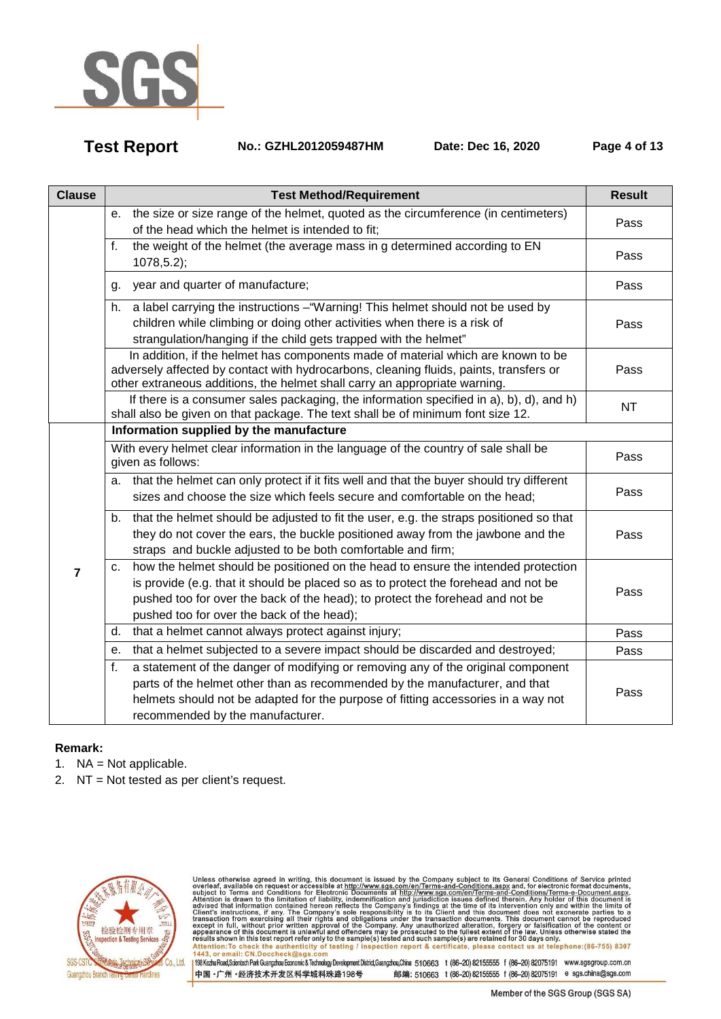

**Test Report No.: GZHL2012059487HM Date: Dec 16, 2020 Page 4 of 13** 

| <b>Clause</b>  | <b>Test Method/Requirement</b>                                                                                                                                                                                                                                                                               | <b>Result</b> |
|----------------|--------------------------------------------------------------------------------------------------------------------------------------------------------------------------------------------------------------------------------------------------------------------------------------------------------------|---------------|
|                | the size or size range of the helmet, quoted as the circumference (in centimeters)<br>е.<br>of the head which the helmet is intended to fit;                                                                                                                                                                 | Pass          |
|                | the weight of the helmet (the average mass in g determined according to EN<br>f.<br>$1078, 5.2$ ;                                                                                                                                                                                                            | Pass          |
|                | year and quarter of manufacture;<br>g.                                                                                                                                                                                                                                                                       | Pass          |
|                | a label carrying the instructions - "Warning! This helmet should not be used by<br>h.<br>children while climbing or doing other activities when there is a risk of<br>strangulation/hanging if the child gets trapped with the helmet"                                                                       | Pass          |
|                | In addition, if the helmet has components made of material which are known to be<br>adversely affected by contact with hydrocarbons, cleaning fluids, paints, transfers or<br>other extraneous additions, the helmet shall carry an appropriate warning.                                                     | Pass          |
|                | If there is a consumer sales packaging, the information specified in a), b), d), and h)<br>shall also be given on that package. The text shall be of minimum font size 12.                                                                                                                                   | <b>NT</b>     |
|                | Information supplied by the manufacture                                                                                                                                                                                                                                                                      |               |
|                | With every helmet clear information in the language of the country of sale shall be<br>given as follows:                                                                                                                                                                                                     | Pass          |
|                | a. that the helmet can only protect if it fits well and that the buyer should try different<br>sizes and choose the size which feels secure and comfortable on the head;                                                                                                                                     | Pass          |
| $\overline{7}$ | b. that the helmet should be adjusted to fit the user, e.g. the straps positioned so that<br>they do not cover the ears, the buckle positioned away from the jawbone and the<br>straps and buckle adjusted to be both comfortable and firm;                                                                  | Pass          |
|                | how the helmet should be positioned on the head to ensure the intended protection<br>c.<br>is provide (e.g. that it should be placed so as to protect the forehead and not be<br>pushed too for over the back of the head); to protect the forehead and not be<br>pushed too for over the back of the head); | Pass          |
|                | that a helmet cannot always protect against injury;<br>d.                                                                                                                                                                                                                                                    | Pass          |
|                | that a helmet subjected to a severe impact should be discarded and destroyed;<br>е.                                                                                                                                                                                                                          | Pass          |
|                | f.<br>a statement of the danger of modifying or removing any of the original component                                                                                                                                                                                                                       |               |
|                | parts of the helmet other than as recommended by the manufacturer, and that<br>helmets should not be adapted for the purpose of fitting accessories in a way not<br>recommended by the manufacturer.                                                                                                         | Pass          |

### **Remark:**

- 1. NA = Not applicable.
- 2. NT = Not tested as per client's request.



Unless otherwise agreed in writing, this document is issued by the Company subject to its General Conditions of Service printed<br>overleaf, available on request or accessible at http://www.sgs.com/en/Terms-and-Conditions.asp resums shown in una essere point eneroiny to une samplets) rester and such samplets are retained to 50 usys omn<br>Attention:To check the authenticity of testing / inspection report & certificate, please contact us at telep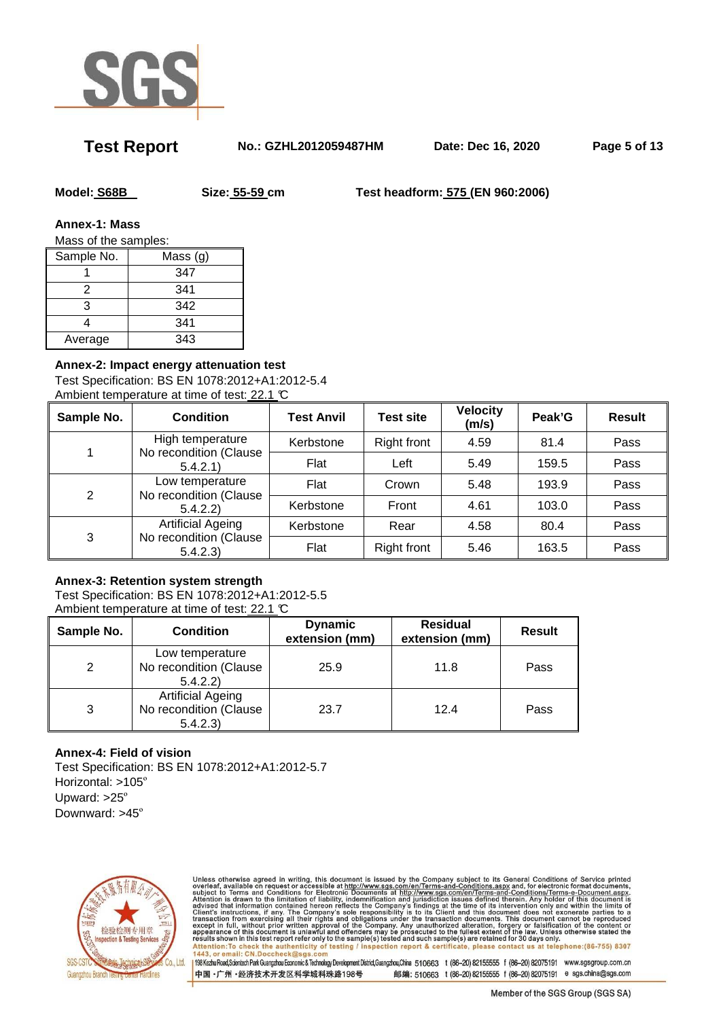

**Test Report No.: GZHL2012059487HM Date: Dec 16, 2020 Page 5 of 13** 

**Model: S68B Size: 55-59 cm Test headform: 575 (EN 960:2006)** 

**Annex-1: Mass** 

Mass of the samples:

| Sample No. | Mass $(g)$ |
|------------|------------|
|            | 347        |
| 2          | 341        |
| 3          | 342        |
|            | 341        |
| Average    | 343        |

# **Annex-2: Impact energy attenuation test**

Test Specification: BS EN 1078:2012+A1:2012-5.4 Ambient temperature at time of test: 22.1 °C

| Sample No. | <b>Condition</b>                                              | <b>Test Anvil</b> | <b>Test site</b>   | <b>Velocity</b><br>(m/s) | Peak'G | <b>Result</b> |
|------------|---------------------------------------------------------------|-------------------|--------------------|--------------------------|--------|---------------|
|            | High temperature<br>No recondition (Clause<br>5.4.2.1         | Kerbstone         | <b>Right front</b> | 4.59                     | 81.4   | Pass          |
|            |                                                               | Flat              | Left               | 5.49                     | 159.5  | Pass          |
| 2          | Low temperature<br>No recondition (Clause<br>5.4.2.2)         | Flat              | Crown              | 5.48                     | 193.9  | Pass          |
|            |                                                               | Kerbstone         | Front              | 4.61                     | 103.0  | Pass          |
| 3          | <b>Artificial Ageing</b><br>No recondition (Clause<br>5.4.2.3 | Kerbstone         | Rear               | 4.58                     | 80.4   | Pass          |
|            |                                                               | Flat              | <b>Right front</b> | 5.46                     | 163.5  | Pass          |

### **Annex-3: Retention system strength**

Test Specification: BS EN 1078:2012+A1:2012-5.5 Ambient temperature at time of test: 22.1 °C

| Sample No.    | <b>Condition</b>                                               | <b>Residual</b><br><b>Dynamic</b><br>extension (mm)<br>extension (mm) |      | <b>Result</b> |
|---------------|----------------------------------------------------------------|-----------------------------------------------------------------------|------|---------------|
| $\mathcal{P}$ | Low temperature<br>No recondition (Clause<br>5.4.2.2)          | 25.9                                                                  | 11.8 | Pass          |
| 3             | <b>Artificial Ageing</b><br>No recondition (Clause<br>5.4.2.3) | 23.7                                                                  | 12.4 | Pass          |

# **Annex-4: Field of vision**

Test Specification: BS EN 1078:2012+A1:2012-5.7 Horizontal: >105º Upward: >25º Downward: >45º



Unless otherwise agreed in writing, this document is issued by the Company subject to its General Conditions of Service printed<br>overleaf, available on request or accessible at http://www.sgs.com/en/Terms-and-Conditions.asp Attention: To check the authenticity of testing / inspection report & certificate, please contact us at telephone: (86-755) 8307<br>1443, or email: CN.Doccheck@sgs.com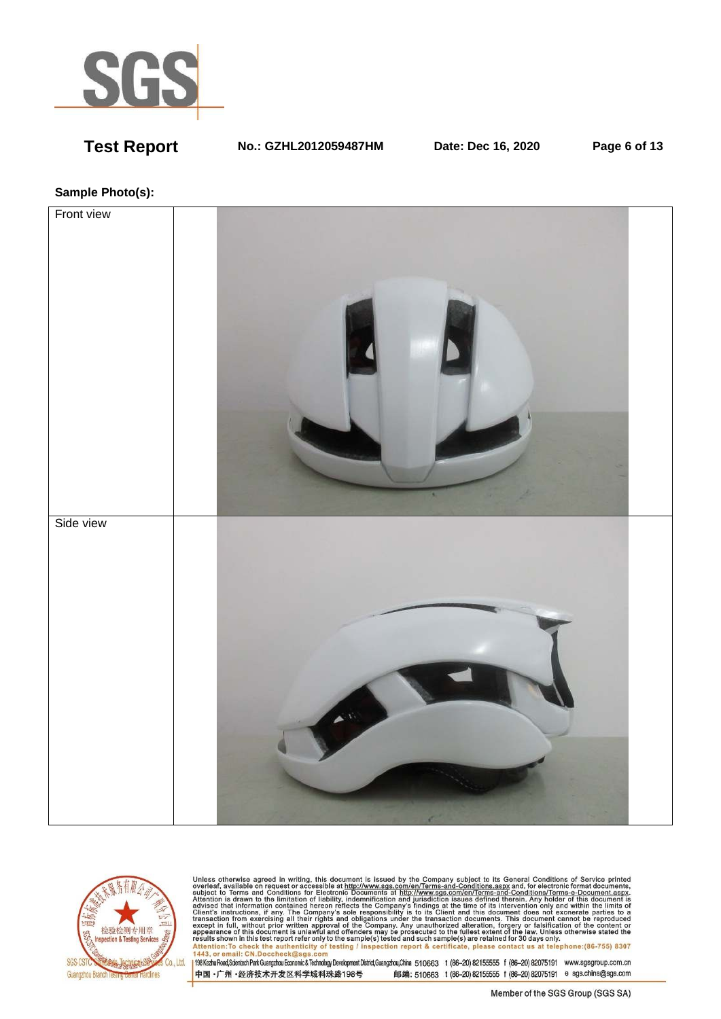

**Test Report No.: GZHL2012059487HM Date: Dec 16, 2020 Page 6 of 13** 

# **Sample Photo(s):**





Unless otherwise agreed in writing, this document is issued by the Company subject to its General Conditions of Service printed<br>overleaf, available on request or accessible at http://www.sgs.com/en/Terms-and-Conditions.asp nexus shown in this test report ferror uny to the samplets) rested and such samplets) are retained for 50 days only of the samplets and starting the samplets are retained for 50 days only the phone : (86-755) 8307<br>1443, or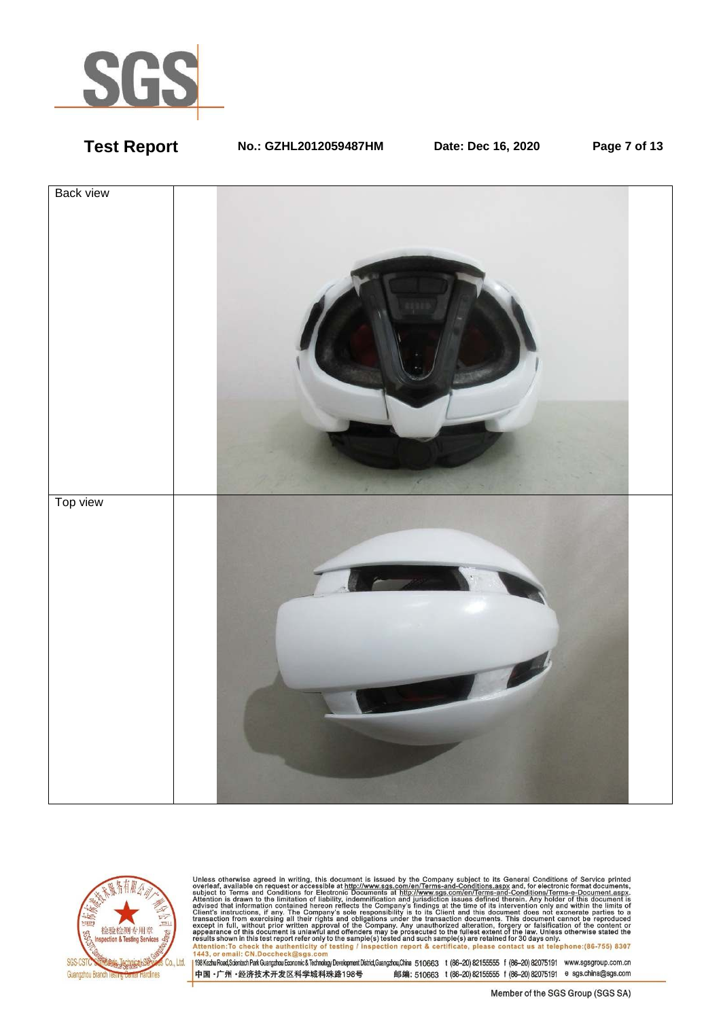

**Test Report No.: GZHL2012059487HM Date: Dec 16, 2020 Page 7 of 13** 





Unless otherwise agreed in writing, this document is issued by the Company subject to its General Conditions of Service printed<br>overleaf, available on request or accessible at http://www.sgs.com/en/Terms-and-Conditions.as resums shown in una essere point eneroiny to une samplets) rester and such samplets are retained to 50 usys omn<br>Attention:To check the authenticity of testing / inspection report & certificate, please contact us at telep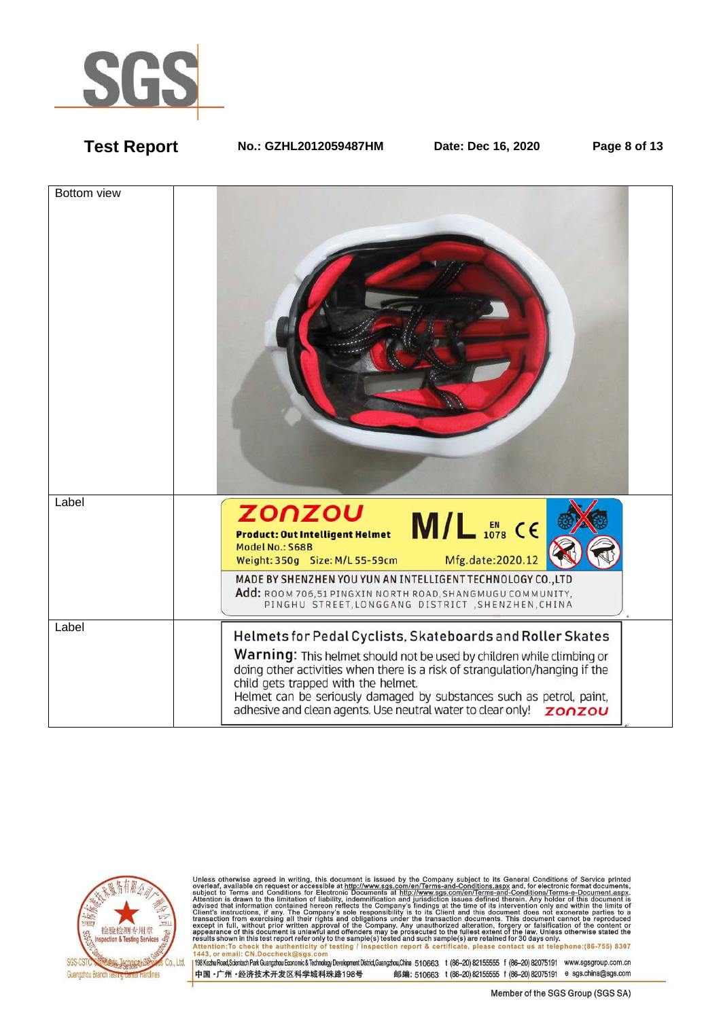

**Test Report No.: GZHL2012059487HM Date: Dec 16, 2020 Page 8 of 13** 





Unless otherwise agreed in writing, this document is issued by the Company subject to its General Conditions of Service printed<br>overleaf, available on request or accessible at http://www.sgs.com/en/Terms-and-Conditions.as Attention: To check the authenticity of testing / inspection report & certificate, please contact us at telephone: (86-755) 8307<br>1443, or email: CN.Doccheck@sqs.com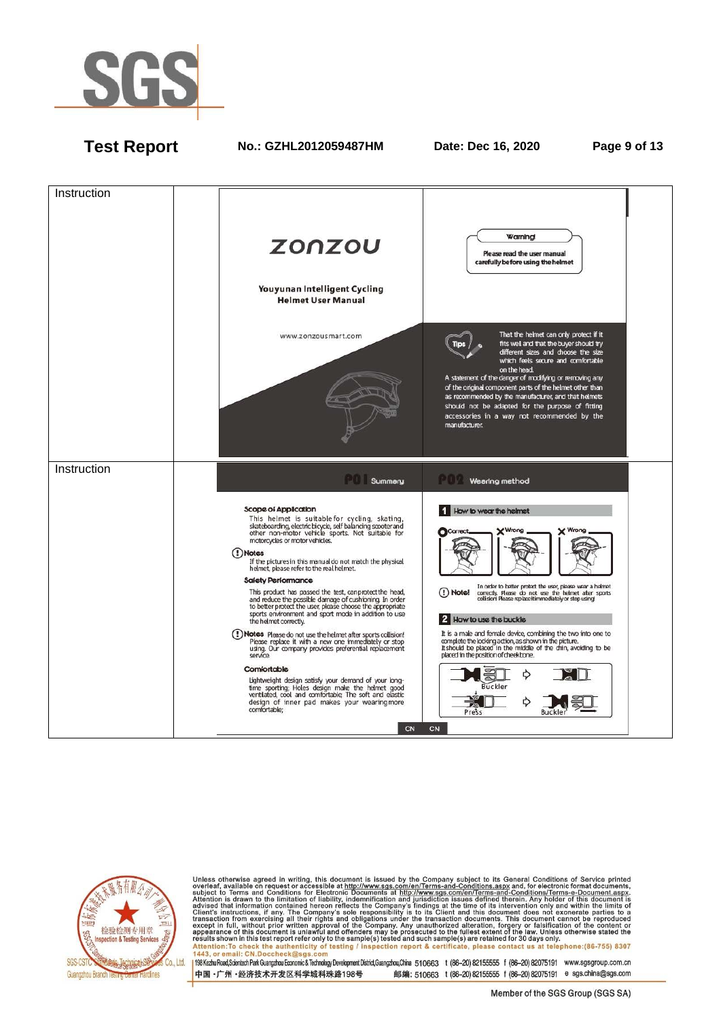

**Test Report No.: GZHL2012059487HM Date: Dec 16, 2020 Page 9 of 13** 





Unless otherwise agreed in writing, this document is issued by the Company subject to its General Conditions of Service printed<br>overleaf, available on request or accessible at http://www.sgs.com/en/Terms-and-Conditions.as Attention: To check the authenticity of testing / inspection report & certificate, please contact us at telephone: (86-755) 8307<br>1443, or email: CN.Doccheck@sqs.com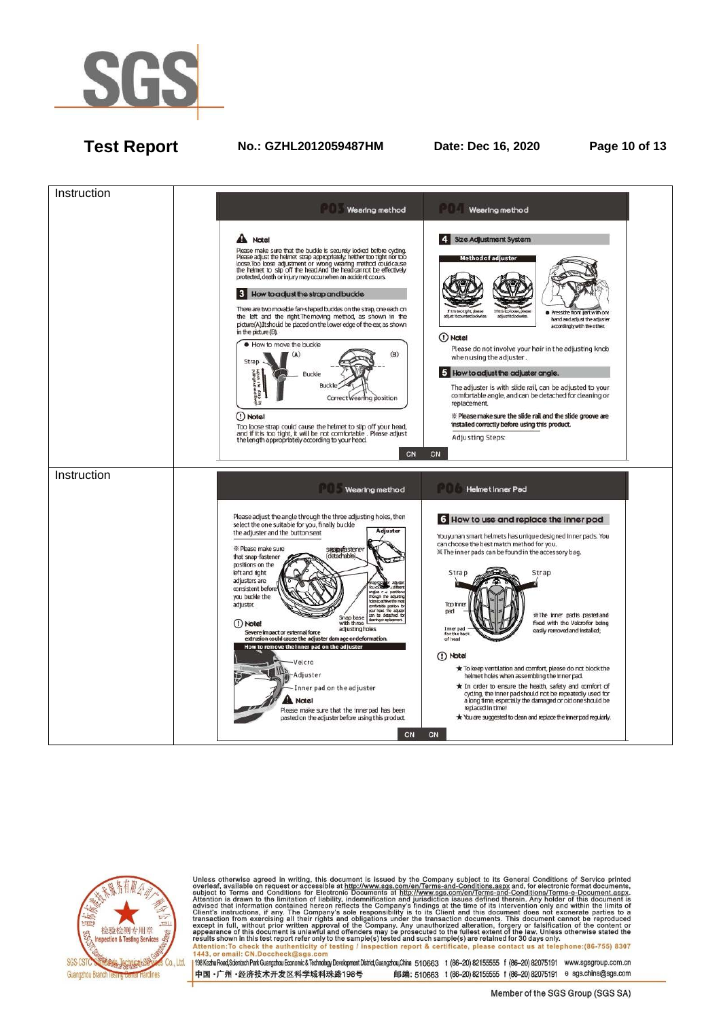

# **Test Report No.: GZHL2012059487HM Date: Dec 16, 2020 Page 10 of 13**





Unless otherwise agreed in writing, this document is issued by the Company subject to its General Conditions of Service printed<br>overleaf, available on request or accessible at http://www.sgs.com/en/Terms-and-Conditions.as Attention: To check the authenticity of testing / inspection report & certificate, please contact us at telephone: (86-755) 8307<br>1443, or email: CN.Doccheck@sqs.com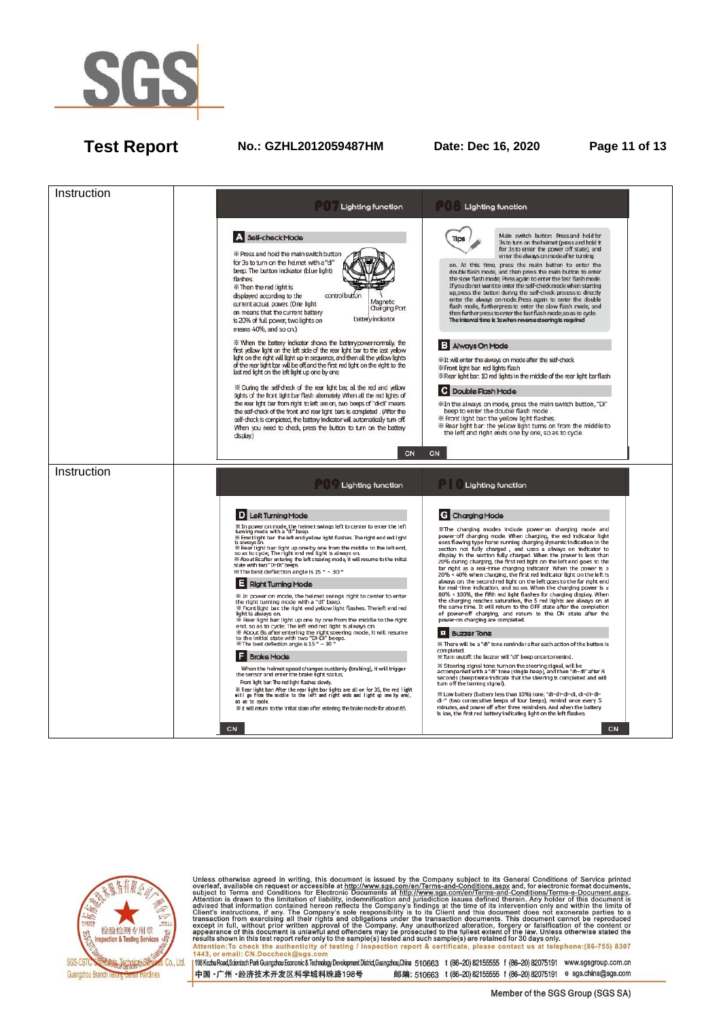

# **Test Report No.: GZHL2012059487HM Date: Dec 16, 2020 Page 11 of 13**





Unless otherwise agreed in writing, this document is issued by the Company subject to its General Conditions of Service printed<br>overleaf, available on request or accessible at http://www.sgs.com/en/Terms-and-Conditions.as Attention: To check the authenticity of testing / inspection report & certificate, please contact us at telephone: (86-755) 8307 1443. or email: CN.Doccheck@sgs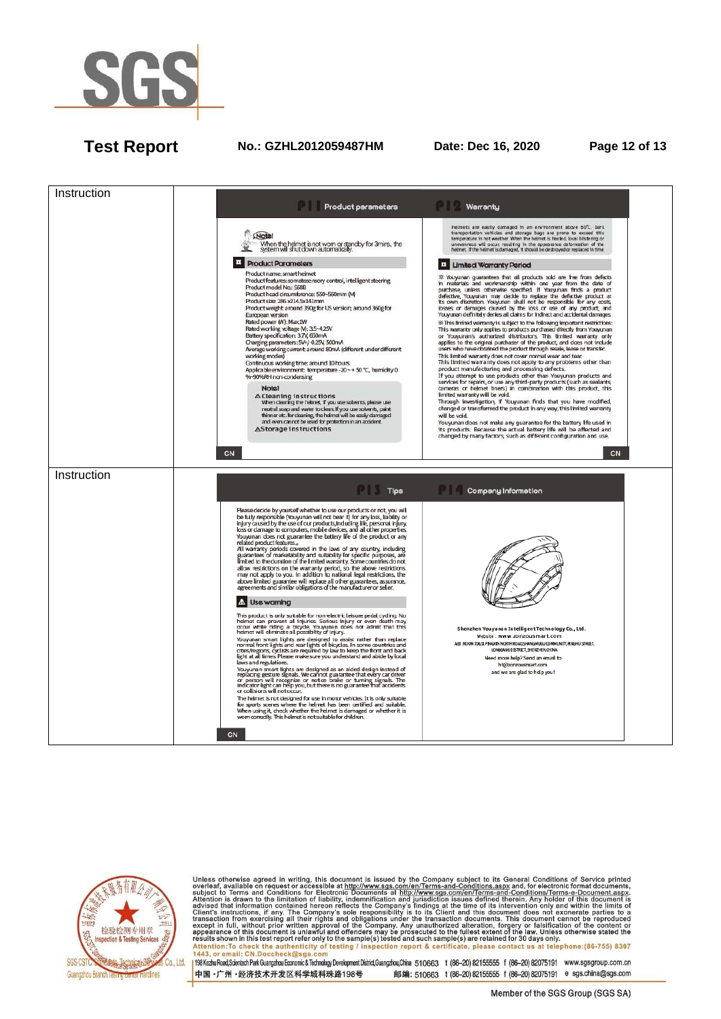

# **Test Report No.: GZHL2012059487HM Date: Dec 16, 2020 Page 12 of 13**





Unless otherwise agreed in writing, this document is issued by the Company subject to its General Conditions of Service printed<br>overleaf, available on request or accessible at http://www.sgs.com/en/Terms-and-Conditions.as Attention: To check the authenticity of testing / inspection report & certificate, please contact us at telephone: (86-755) 8307<br>1443, or email: CN.Doccheck@sqs.com